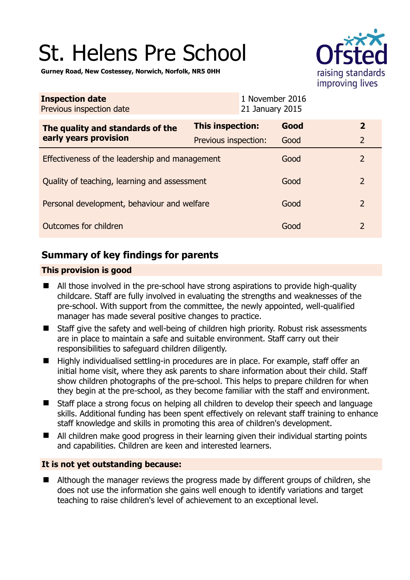# St. Helens Pre School



**Gurney Road, New Costessey, Norwich, Norfolk, NR5 0HH** 

| <b>Inspection date</b><br>Previous inspection date        |                      | 1 November 2016<br>21 January 2015 |                |
|-----------------------------------------------------------|----------------------|------------------------------------|----------------|
| The quality and standards of the<br>early years provision | This inspection:     | Good                               | $\overline{2}$ |
|                                                           | Previous inspection: | Good                               | $\overline{2}$ |
| Effectiveness of the leadership and management            |                      | Good                               | $\overline{2}$ |
| Quality of teaching, learning and assessment              |                      | Good                               | $\overline{2}$ |
| Personal development, behaviour and welfare               |                      | Good                               | $\overline{2}$ |
| Outcomes for children                                     |                      | Good                               | $\overline{2}$ |

# **Summary of key findings for parents**

## **This provision is good**

- All those involved in the pre-school have strong aspirations to provide high-quality childcare. Staff are fully involved in evaluating the strengths and weaknesses of the pre-school. With support from the committee, the newly appointed, well-qualified manager has made several positive changes to practice.
- Staff give the safety and well-being of children high priority. Robust risk assessments are in place to maintain a safe and suitable environment. Staff carry out their responsibilities to safeguard children diligently.
- Highly individualised settling-in procedures are in place. For example, staff offer an initial home visit, where they ask parents to share information about their child. Staff show children photographs of the pre-school. This helps to prepare children for when they begin at the pre-school, as they become familiar with the staff and environment.
- Staff place a strong focus on helping all children to develop their speech and language skills. Additional funding has been spent effectively on relevant staff training to enhance staff knowledge and skills in promoting this area of children's development.
- All children make good progress in their learning given their individual starting points and capabilities. Children are keen and interested learners.

## **It is not yet outstanding because:**

■ Although the manager reviews the progress made by different groups of children, she does not use the information she gains well enough to identify variations and target teaching to raise children's level of achievement to an exceptional level.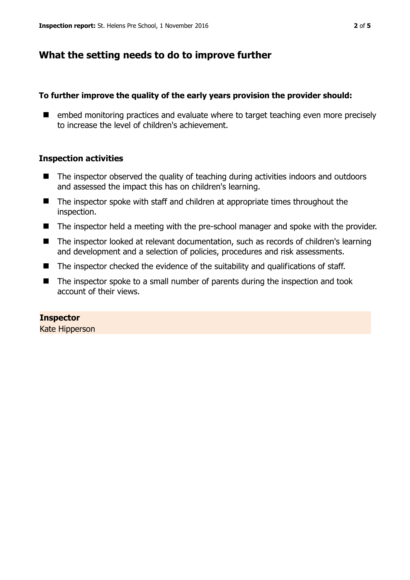# **What the setting needs to do to improve further**

#### **To further improve the quality of the early years provision the provider should:**

■ embed monitoring practices and evaluate where to target teaching even more precisely to increase the level of children's achievement.

## **Inspection activities**

- The inspector observed the quality of teaching during activities indoors and outdoors and assessed the impact this has on children's learning.
- The inspector spoke with staff and children at appropriate times throughout the inspection.
- The inspector held a meeting with the pre-school manager and spoke with the provider.
- The inspector looked at relevant documentation, such as records of children's learning and development and a selection of policies, procedures and risk assessments.
- The inspector checked the evidence of the suitability and qualifications of staff.
- The inspector spoke to a small number of parents during the inspection and took account of their views.

## **Inspector**

Kate Hipperson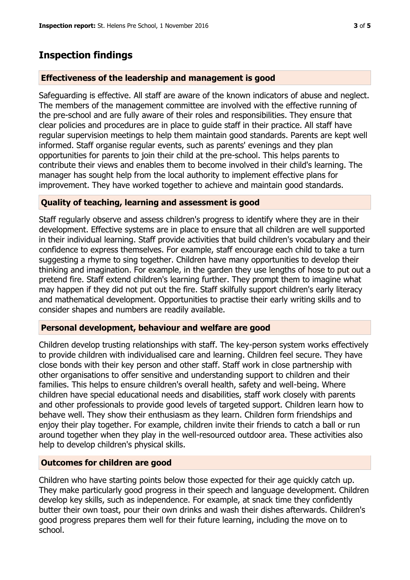## **Inspection findings**

#### **Effectiveness of the leadership and management is good**

Safeguarding is effective. All staff are aware of the known indicators of abuse and neglect. The members of the management committee are involved with the effective running of the pre-school and are fully aware of their roles and responsibilities. They ensure that clear policies and procedures are in place to guide staff in their practice. All staff have regular supervision meetings to help them maintain good standards. Parents are kept well informed. Staff organise regular events, such as parents' evenings and they plan opportunities for parents to join their child at the pre-school. This helps parents to contribute their views and enables them to become involved in their child's learning. The manager has sought help from the local authority to implement effective plans for improvement. They have worked together to achieve and maintain good standards.

#### **Quality of teaching, learning and assessment is good**

Staff regularly observe and assess children's progress to identify where they are in their development. Effective systems are in place to ensure that all children are well supported in their individual learning. Staff provide activities that build children's vocabulary and their confidence to express themselves. For example, staff encourage each child to take a turn suggesting a rhyme to sing together. Children have many opportunities to develop their thinking and imagination. For example, in the garden they use lengths of hose to put out a pretend fire. Staff extend children's learning further. They prompt them to imagine what may happen if they did not put out the fire. Staff skilfully support children's early literacy and mathematical development. Opportunities to practise their early writing skills and to consider shapes and numbers are readily available.

#### **Personal development, behaviour and welfare are good**

Children develop trusting relationships with staff. The key-person system works effectively to provide children with individualised care and learning. Children feel secure. They have close bonds with their key person and other staff. Staff work in close partnership with other organisations to offer sensitive and understanding support to children and their families. This helps to ensure children's overall health, safety and well-being. Where children have special educational needs and disabilities, staff work closely with parents and other professionals to provide good levels of targeted support. Children learn how to behave well. They show their enthusiasm as they learn. Children form friendships and enjoy their play together. For example, children invite their friends to catch a ball or run around together when they play in the well-resourced outdoor area. These activities also help to develop children's physical skills.

#### **Outcomes for children are good**

Children who have starting points below those expected for their age quickly catch up. They make particularly good progress in their speech and language development. Children develop key skills, such as independence. For example, at snack time they confidently butter their own toast, pour their own drinks and wash their dishes afterwards. Children's good progress prepares them well for their future learning, including the move on to school.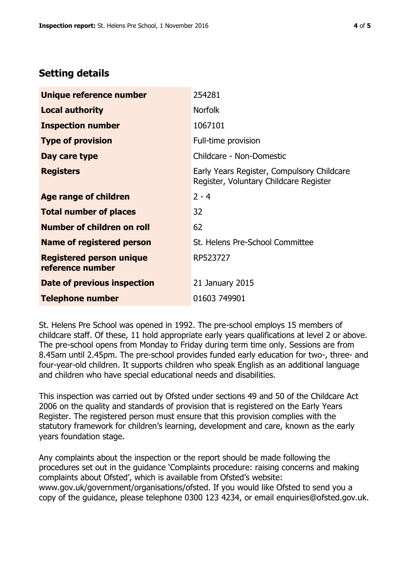# **Setting details**

| Unique reference number                             | 254281                                                                               |  |
|-----------------------------------------------------|--------------------------------------------------------------------------------------|--|
| <b>Local authority</b>                              | <b>Norfolk</b>                                                                       |  |
| <b>Inspection number</b>                            | 1067101                                                                              |  |
| <b>Type of provision</b>                            | Full-time provision                                                                  |  |
| Day care type                                       | Childcare - Non-Domestic                                                             |  |
| <b>Registers</b>                                    | Early Years Register, Compulsory Childcare<br>Register, Voluntary Childcare Register |  |
| Age range of children                               | $2 - 4$                                                                              |  |
| <b>Total number of places</b>                       | 32                                                                                   |  |
| Number of children on roll                          | 62                                                                                   |  |
| Name of registered person                           | St. Helens Pre-School Committee                                                      |  |
| <b>Registered person unique</b><br>reference number | RP523727                                                                             |  |
| <b>Date of previous inspection</b>                  | 21 January 2015                                                                      |  |
| <b>Telephone number</b>                             | 01603 749901                                                                         |  |

St. Helens Pre School was opened in 1992. The pre-school employs 15 members of childcare staff. Of these, 11 hold appropriate early years qualifications at level 2 or above. The pre-school opens from Monday to Friday during term time only. Sessions are from 8.45am until 2.45pm. The pre-school provides funded early education for two-, three- and four-year-old children. It supports children who speak English as an additional language and children who have special educational needs and disabilities.

This inspection was carried out by Ofsted under sections 49 and 50 of the Childcare Act 2006 on the quality and standards of provision that is registered on the Early Years Register. The registered person must ensure that this provision complies with the statutory framework for children's learning, development and care, known as the early years foundation stage.

Any complaints about the inspection or the report should be made following the procedures set out in the guidance 'Complaints procedure: raising concerns and making complaints about Ofsted', which is available from Ofsted's website: www.gov.uk/government/organisations/ofsted. If you would like Ofsted to send you a copy of the guidance, please telephone 0300 123 4234, or email enquiries@ofsted.gov.uk.